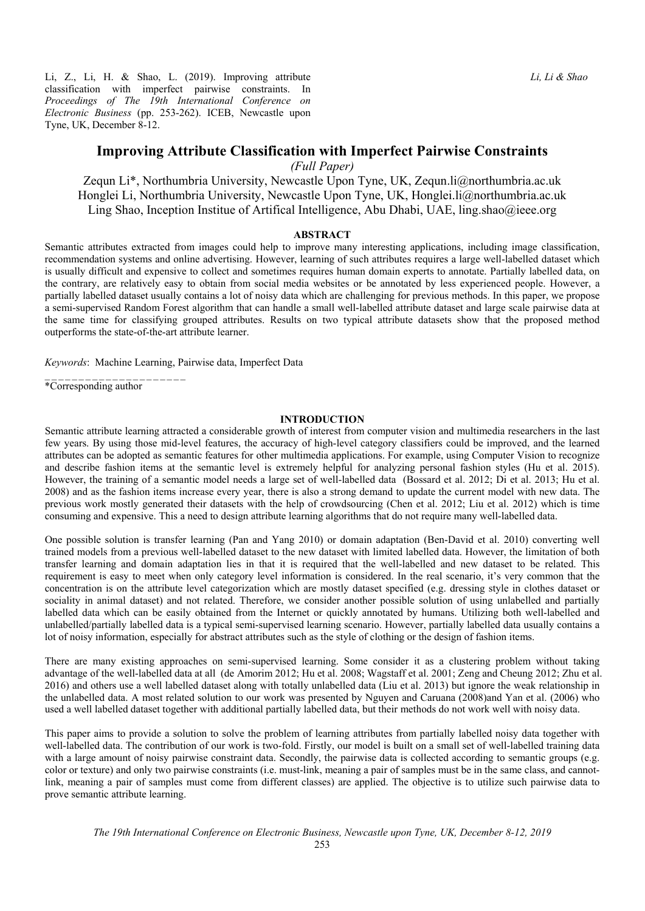Li, Z., Li, H. & Shao, L. (2019). Improving attribute classification with imperfect pairwise constraints. In *Proceedings of The 19th International Conference on Electronic Business* (pp. 253-262). ICEB, Newcastle upon Tyne, UK, December 8-12.

*(Full Paper)* 

Zequn Li\*, Northumbria University, Newcastle Upon Tyne, UK, Zequn.li@northumbria.ac.uk Honglei Li, Northumbria University, Newcastle Upon Tyne, UK, Honglei.li@northumbria.ac.uk Ling Shao, Inception Institue of Artifical Intelligence, Abu Dhabi, UAE, ling.shao@ieee.org

## **ABSTRACT**

Semantic attributes extracted from images could help to improve many interesting applications, including image classification, recommendation systems and online advertising. However, learning of such attributes requires a large well-labelled dataset which is usually difficult and expensive to collect and sometimes requires human domain experts to annotate. Partially labelled data, on the contrary, are relatively easy to obtain from social media websites or be annotated by less experienced people. However, a partially labelled dataset usually contains a lot of noisy data which are challenging for previous methods. In this paper, we propose a semi-supervised Random Forest algorithm that can handle a small well-labelled attribute dataset and large scale pairwise data at the same time for classifying grouped attributes. Results on two typical attribute datasets show that the proposed method outperforms the state-of-the-art attribute learner.

*Keywords*: Machine Learning, Pairwise data, Imperfect Data

\*Corresponding author

\_\_\_\_\_\_\_\_\_\_\_\_\_\_\_\_\_\_\_\_\_

# **INTRODUCTION**

Semantic attribute learning attracted a considerable growth of interest from computer vision and multimedia researchers in the last few years. By using those mid-level features, the accuracy of high-level category classifiers could be improved, and the learned attributes can be adopted as semantic features for other multimedia applications. For example, using Computer Vision to recognize and describe fashion items at the semantic level is extremely helpful for analyzing personal fashion styles (Hu et al. 2015). However, the training of a semantic model needs a large set of well-labelled data (Bossard et al. 2012; Di et al. 2013; Hu et al. 2008) and as the fashion items increase every year, there is also a strong demand to update the current model with new data. The previous work mostly generated their datasets with the help of crowdsourcing (Chen et al. 2012; Liu et al. 2012) which is time consuming and expensive. This a need to design attribute learning algorithms that do not require many well-labelled data.

One possible solution is transfer learning (Pan and Yang 2010) or domain adaptation (Ben-David et al. 2010) converting well trained models from a previous well-labelled dataset to the new dataset with limited labelled data. However, the limitation of both transfer learning and domain adaptation lies in that it is required that the well-labelled and new dataset to be related. This requirement is easy to meet when only category level information is considered. In the real scenario, it's very common that the concentration is on the attribute level categorization which are mostly dataset specified (e.g. dressing style in clothes dataset or sociality in animal dataset) and not related. Therefore, we consider another possible solution of using unlabelled and partially labelled data which can be easily obtained from the Internet or quickly annotated by humans. Utilizing both well-labelled and unlabelled/partially labelled data is a typical semi-supervised learning scenario. However, partially labelled data usually contains a lot of noisy information, especially for abstract attributes such as the style of clothing or the design of fashion items.

There are many existing approaches on semi-supervised learning. Some consider it as a clustering problem without taking advantage of the well-labelled data at all (de Amorim 2012; Hu et al. 2008; Wagstaff et al. 2001; Zeng and Cheung 2012; Zhu et al. 2016) and others use a well labelled dataset along with totally unlabelled data (Liu et al. 2013) but ignore the weak relationship in the unlabelled data. A most related solution to our work was presented by Nguyen and Caruana (2008)and Yan et al. (2006) who used a well labelled dataset together with additional partially labelled data, but their methods do not work well with noisy data.

This paper aims to provide a solution to solve the problem of learning attributes from partially labelled noisy data together with well-labelled data. The contribution of our work is two-fold. Firstly, our model is built on a small set of well-labelled training data with a large amount of noisy pairwise constraint data. Secondly, the pairwise data is collected according to semantic groups (e.g. color or texture) and only two pairwise constraints (i.e. must-link, meaning a pair of samples must be in the same class, and cannotlink, meaning a pair of samples must come from different classes) are applied. The objective is to utilize such pairwise data to prove semantic attribute learning.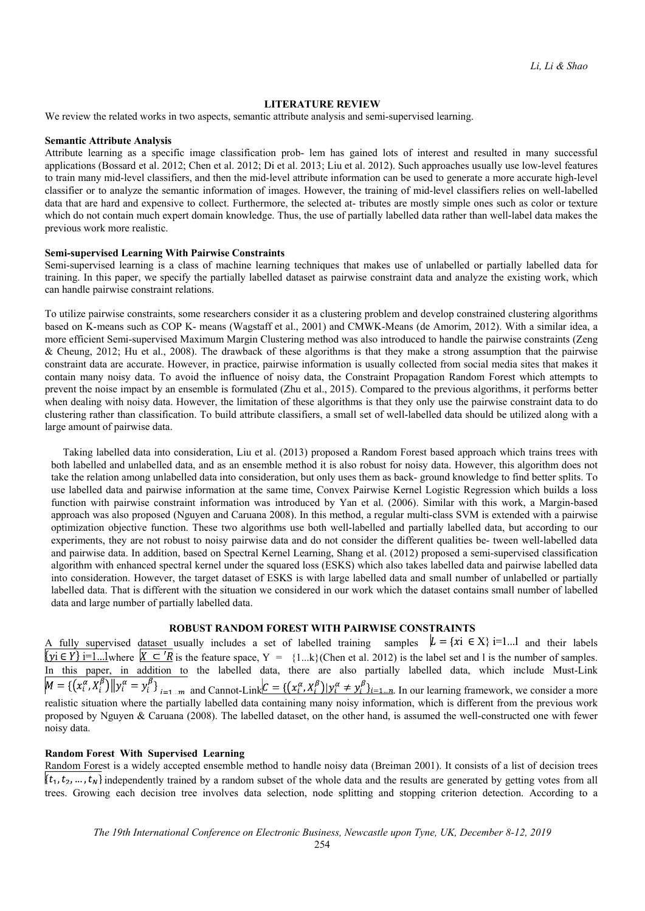# **LITERATURE REVIEW**

We review the related works in two aspects, semantic attribute analysis and semi-supervised learning.

#### **Semantic Attribute Analysis**

Attribute learning as a specific image classification prob- lem has gained lots of interest and resulted in many successful applications (Bossard et al. 2012; Chen et al. 2012; Di et al. 2013; Liu et al. 2012). Such approaches usually use low-level features to train many mid-level classifiers, and then the mid-level attribute information can be used to generate a more accurate high-level classifier or to analyze the semantic information of images. However, the training of mid-level classifiers relies on well-labelled data that are hard and expensive to collect. Furthermore, the selected at- tributes are mostly simple ones such as color or texture which do not contain much expert domain knowledge. Thus, the use of partially labelled data rather than well-label data makes the previous work more realistic.

# **Semi-supervised Learning With Pairwise Constraints**

Semi-supervised learning is a class of machine learning techniques that makes use of unlabelled or partially labelled data for training. In this paper, we specify the partially labelled dataset as pairwise constraint data and analyze the existing work, which can handle pairwise constraint relations.

To utilize pairwise constraints, some researchers consider it as a clustering problem and develop constrained clustering algorithms based on K-means such as COP K- means (Wagstaff et al., 2001) and CMWK-Means (de Amorim, 2012). With a similar idea, a more efficient Semi-supervised Maximum Margin Clustering method was also introduced to handle the pairwise constraints (Zeng & Cheung, 2012; Hu et al., 2008). The drawback of these algorithms is that they make a strong assumption that the pairwise constraint data are accurate. However, in practice, pairwise information is usually collected from social media sites that makes it contain many noisy data. To avoid the influence of noisy data, the Constraint Propagation Random Forest which attempts to prevent the noise impact by an ensemble is formulated (Zhu et al., 2015). Compared to the previous algorithms, it performs better when dealing with noisy data. However, the limitation of these algorithms is that they only use the pairwise constraint data to do clustering rather than classification. To build attribute classifiers, a small set of well-labelled data should be utilized along with a large amount of pairwise data.

Taking labelled data into consideration, Liu et al. (2013) proposed a Random Forest based approach which trains trees with both labelled and unlabelled data, and as an ensemble method it is also robust for noisy data. However, this algorithm does not take the relation among unlabelled data into consideration, but only uses them as back- ground knowledge to find better splits. To use labelled data and pairwise information at the same time, Convex Pairwise Kernel Logistic Regression which builds a loss function with pairwise constraint information was introduced by Yan et al. (2006). Similar with this work, a Margin-based approach was also proposed (Nguyen and Caruana 2008). In this method, a regular multi-class SVM is extended with a pairwise optimization objective function. These two algorithms use both well-labelled and partially labelled data, but according to our experiments, they are not robust to noisy pairwise data and do not consider the different qualities be- tween well-labelled data and pairwise data. In addition, based on Spectral Kernel Learning, Shang et al. (2012) proposed a semi-supervised classification algorithm with enhanced spectral kernel under the squared loss (ESKS) which also takes labelled data and pairwise labelled data into consideration. However, the target dataset of ESKS is with large labelled data and small number of unlabelled or partially labelled data. That is different with the situation we considered in our work which the dataset contains small number of labelled data and large number of partially labelled data.

# **ROBUST RANDOM FOREST WITH PAIRWISE CONSTRAINTS**

A fully supervised dataset usually includes a set of labelled training samples  $L = \{xi \in X\}$  i=1...1 and their labels  $\{yi \in Y\}$  i=1...1where  $\{X \subseteq {}'R$  is the feature space,  $Y = \{1...k\}$  (Chen et al. 2012) is the label set and 1 is the number of samples. In this paper, in addition to the labelled data, there are also partially labelled data, which include Must-Link  $M = \{ (x_i^{\alpha}, X_i^{\beta}) || y_i^{\alpha} = y_i^{\beta} \}_{i=1...m}$  and Cannot-Link  $C = \{ (x_i^{\alpha}, X_i^{\beta}) | y_i^{\alpha} \neq y_i^{\beta} \}_{i=1...n}$ . In our learning framework, we consider a more realistic situation where the partially labelled data containing many noisy information, which is different from the previous work proposed by Nguyen & Caruana (2008). The labelled dataset, on the other hand, is assumed the well-constructed one with fewer noisy data.

# **Random Forest With Supervised Learning**

Random Forest is a widely accepted ensemble method to handle noisy data (Breiman 2001). It consists of a list of decision trees  $\{t_1, t_2, ..., t_N\}$  independently trained by a random subset of the whole data and the results are generated by getting votes from all trees. Growing each decision tree involves data selection, node splitting and stopping criterion detection. According to a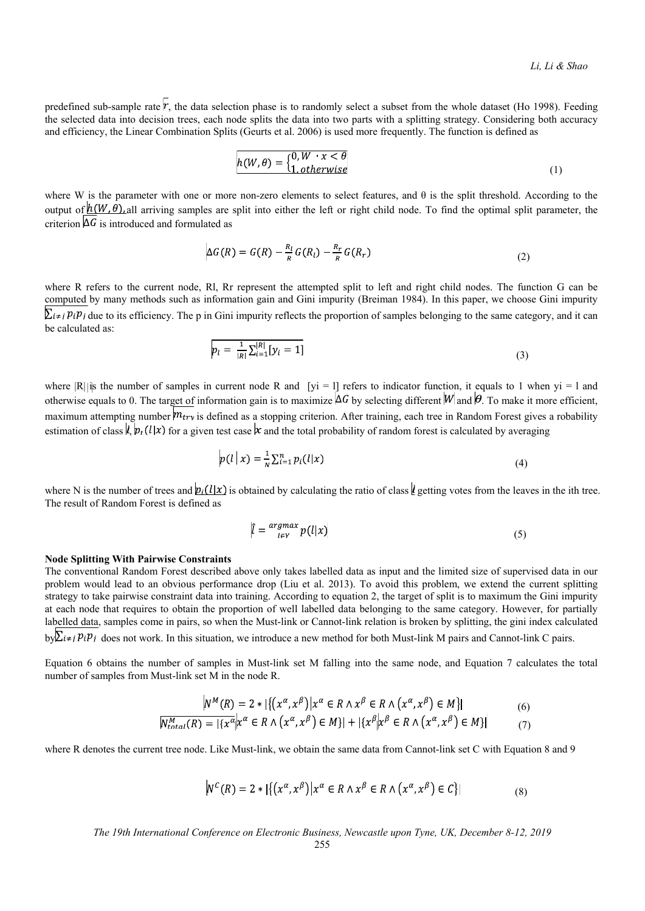predefined sub-sample rate  $\dot{r}$ , the data selection phase is to randomly select a subset from the whole dataset (Ho 1998). Feeding the selected data into decision trees, each node splits the data into two parts with a splitting strategy. Considering both accuracy and efficiency, the Linear Combination Splits (Geurts et al. 2006) is used more frequently. The function is defined as

$$
h(W, \theta) = \begin{cases} 0, W & x < \theta \\ 1, otherwise \end{cases}
$$
 (1)

where W is the parameter with one or more non-zero elements to select features, and  $\theta$  is the split threshold. According to the output of  $\overline{h(W, \theta)}$ , all arriving samples are split into either the left or right child node. To find the optimal split parameter, the criterion  $\Delta G$  is introduced and formulated as

$$
\Delta G(R) = G(R) - \frac{R_l}{R} G(R_l) - \frac{R_r}{R} G(R_r)
$$
\n(2)

where R refers to the current node, Rl, Rr represent the attempted split to left and right child nodes. The function G can be computed by many methods such as information gain and Gini impurity (Breiman 1984). In this paper, we choose Gini impurity  $\sum_{i\neq j} p_i p_j$  due to its efficiency. The p in Gini impurity reflects the proportion of samples belonging to the same category, and it can be calculated as:

$$
p_l = \frac{1}{|R|} \sum_{i=1}^{|R|} [y_i = 1]
$$
\n(3)

where  $|R|$  is the number of samples in current node R and [yi = l] refers to indicator function, it equals to 1 when yi = 1 and otherwise equals to 0. The target of information gain is to maximize  $\Delta G$  by selecting different  $W$  and  $\theta$ . To make it more efficient, maximum attempting number  $m_{try}$  is defined as a stopping criterion. After training, each tree in Random Forest gives a robability estimation of class  $\ell$ ,  $p_t(l|x)$  for a given test case  $\ell$  and the total probability of random forest is calculated by averaging

$$
p(l|x) = \frac{1}{N} \sum_{i=1}^{n} p_i(l|x)
$$
\n<sup>(4)</sup>

where N is the number of trees and  $p_i(l|x)$  is obtained by calculating the ratio of class  $\ell$  getting votes from the leaves in the ith tree. The result of Random Forest is defined as

$$
\hat{l} = \frac{\arg\max}{l \in \mathcal{V}} p(l|x) \tag{5}
$$

## **Node Splitting With Pairwise Constraints**

The conventional Random Forest described above only takes labelled data as input and the limited size of supervised data in our problem would lead to an obvious performance drop (Liu et al. 2013). To avoid this problem, we extend the current splitting strategy to take pairwise constraint data into training. According to equation 2, the target of split is to maximum the Gini impurity at each node that requires to obtain the proportion of well labelled data belonging to the same category. However, for partially labelled data, samples come in pairs, so when the Must-link or Cannot-link relation is broken by splitting, the gini index calculated

 $b\nu \sum_{i\neq j} p_i p_j$  does not work. In this situation, we introduce a new method for both Must-link M pairs and Cannot-link C pairs.

Equation 6 obtains the number of samples in Must-link set M falling into the same node, and Equation 7 calculates the total number of samples from Must-link set M in the node R.

$$
N^{M}(R) = 2 * \left[ \left\{ \left( x^{\alpha}, x^{\beta} \right) \middle| x^{\alpha} \in R \land x^{\beta} \in R \land \left( x^{\alpha}, x^{\beta} \right) \in M \right\} \right] \tag{6}
$$
  

$$
N^{M}_{total}(R) = \left[ \left\{ x^{\alpha} \middle| x^{\alpha} \in R \land \left( x^{\alpha}, x^{\beta} \right) \in M \right\} \right] + \left[ \left\{ x^{\beta} \middle| x^{\beta} \in R \land \left( x^{\alpha}, x^{\beta} \right) \in M \right\} \right] \tag{7}
$$

where R denotes the current tree node. Like Must-link, we obtain the same data from Cannot-link set C with Equation 8 and 9

$$
N^{C}(R) = 2 * \left[ \left\{ \left( x^{\alpha}, x^{\beta} \right) \middle| x^{\alpha} \in R \land x^{\beta} \in R \land \left( x^{\alpha}, x^{\beta} \right) \in C \right\} \right]
$$
\n
$$
(8)
$$

*The 19th International Conference on Electronic Business, Newcastle upon Tyne, UK, December 8-12, 2019*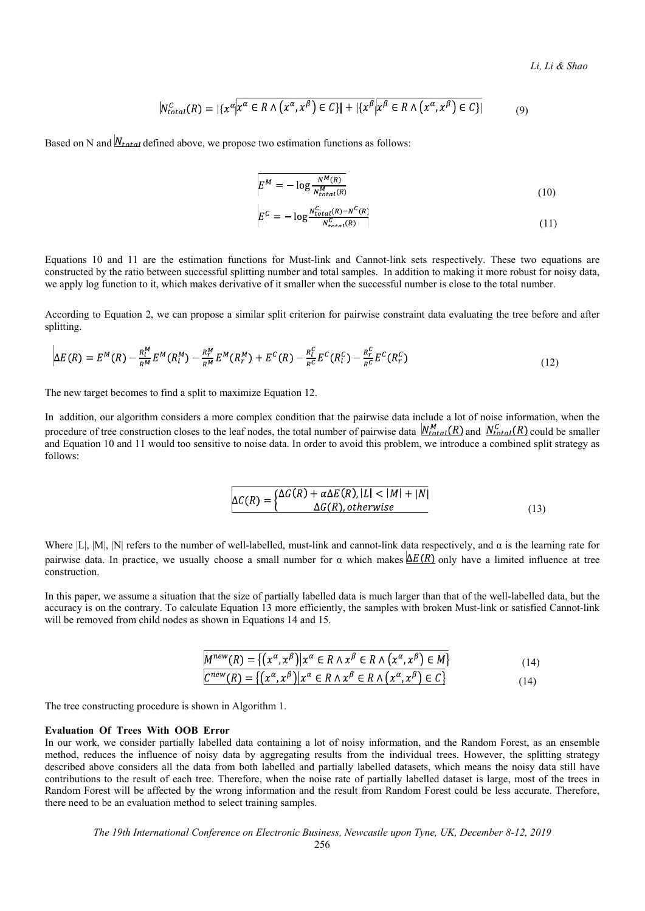$$
N_{total}^{C}(R) = |\{x^{\alpha} | x^{\alpha} \in R \land (x^{\alpha}, x^{\beta}) \in C\}| + |\{x^{\beta} | x^{\beta} \in R \land (x^{\alpha}, x^{\beta}) \in C\}|
$$
(9)

Based on N and  $N_{total}$  defined above, we propose two estimation functions as follows:

$$
E^M = -\log \frac{N^M(R)}{N_{total}^M(R)}
$$
\n(10)

$$
E^{C} = -\log \frac{N_{total}^{C}(R) - N^{C}(R)}{N_{total}^{C}(R)}
$$
\n(11)

Equations 10 and 11 are the estimation functions for Must-link and Cannot-link sets respectively. These two equations are constructed by the ratio between successful splitting number and total samples. In addition to making it more robust for noisy data, we apply log function to it, which makes derivative of it smaller when the successful number is close to the total number.

According to Equation 2, we can propose a similar split criterion for pairwise constraint data evaluating the tree before and after splitting.

$$
\Delta E(R) = E^{M}(R) - \frac{R_{l}^{M}}{R^{M}} E^{M}(R_{l}^{M}) - \frac{R_{r}^{M}}{R^{M}} E^{M}(R_{r}^{M}) + E^{C}(R) - \frac{R_{l}^{C}}{R^{C}} E^{C}(R_{l}^{C}) - \frac{R_{r}^{C}}{R^{C}} E^{C}(R_{r}^{C})
$$
\n(12)

The new target becomes to find a split to maximize Equation 12.

In addition, our algorithm considers a more complex condition that the pairwise data include a lot of noise information, when the procedure of tree construction closes to the leaf nodes, the total number of pairwise data  $N_{total}^M(R)$  and  $N_{total}^C(R)$  could be smaller and Equation 10 and 11 would too sensitive to noise data. In order to avoid this problem, we introduce a combined split strategy as follows:

$$
\Delta C(R) = \begin{cases} \Delta G(R) + \alpha \Delta E(R), |L| < |M| + |N| \\ \Delta G(R), otherwise \end{cases} \tag{13}
$$

Where  $|L|$ ,  $|M|$ ,  $|N|$  refers to the number of well-labelled, must-link and cannot-link data respectively, and  $\alpha$  is the learning rate for pairwise data. In practice, we usually choose a small number for  $\alpha$  which makes  $\Delta E(R)$  only have a limited influence at tree construction.

In this paper, we assume a situation that the size of partially labelled data is much larger than that of the well-labelled data, but the accuracy is on the contrary. To calculate Equation 13 more efficiently, the samples with broken Must-link or satisfied Cannot-link will be removed from child nodes as shown in Equations 14 and 15.

$$
M^{new}(R) = \{ (x^{\alpha}, x^{\beta}) | x^{\alpha} \in R \land x^{\beta} \in R \land (x^{\alpha}, x^{\beta}) \in M \}
$$
  
\n
$$
C^{new}(R) = \{ (x^{\alpha}, x^{\beta}) | x^{\alpha} \in R \land x^{\beta} \in R \land (x^{\alpha}, x^{\beta}) \in C \}
$$
\n
$$
(14)
$$

The tree constructing procedure is shown in Algorithm 1.

#### **Evaluation Of Trees With OOB Error**

In our work, we consider partially labelled data containing a lot of noisy information, and the Random Forest, as an ensemble method, reduces the influence of noisy data by aggregating results from the individual trees. However, the splitting strategy described above considers all the data from both labelled and partially labelled datasets, which means the noisy data still have contributions to the result of each tree. Therefore, when the noise rate of partially labelled dataset is large, most of the trees in Random Forest will be affected by the wrong information and the result from Random Forest could be less accurate. Therefore, there need to be an evaluation method to select training samples.

*The 19th International Conference on Electronic Business, Newcastle upon Tyne, UK, December 8-12, 2019*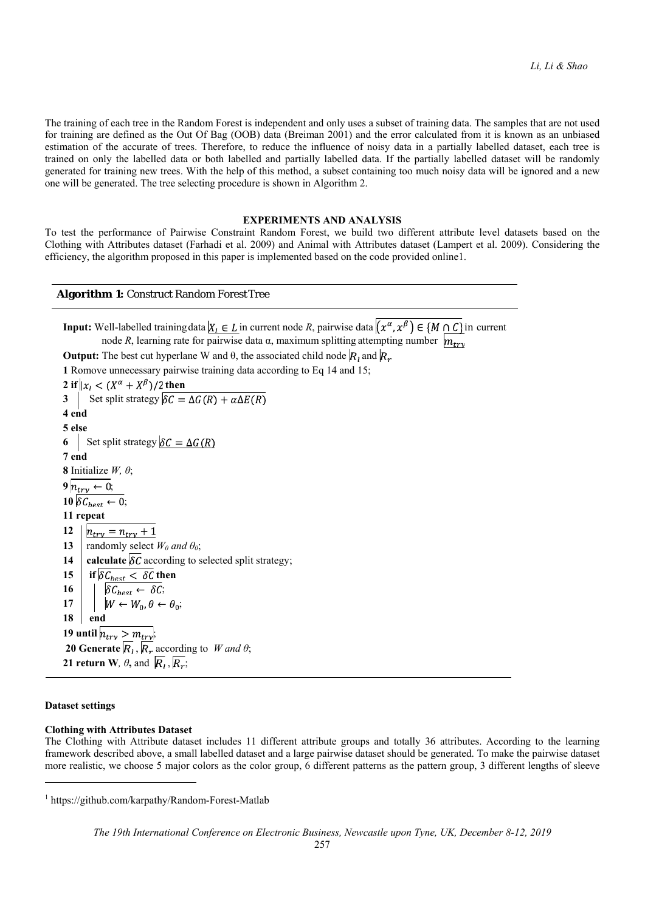The training of each tree in the Random Forest is independent and only uses a subset of training data. The samples that are not used for training are defined as the Out Of Bag (OOB) data (Breiman 2001) and the error calculated from it is known as an unbiased estimation of the accurate of trees. Therefore, to reduce the influence of noisy data in a partially labelled dataset, each tree is trained on only the labelled data or both labelled and partially labelled data. If the partially labelled dataset will be randomly generated for training new trees. With the help of this method, a subset containing too much noisy data will be ignored and a new one will be generated. The tree selecting procedure is shown in Algorithm 2.

#### **EXPERIMENTS AND ANALYSIS**

To test the performance of Pairwise Constraint Random Forest, we build two different attribute level datasets based on the Clothing with Attributes dataset (Farhadi et al. 2009) and Animal with Attributes dataset (Lampert et al. 2009). Considering the efficiency, the algorithm proposed in this paper is implemented based on the code provided online1.

## **Algorithm 1:** Construct Random Forest Tree

**Input:** Well-labelled training data  $\overline{X_i \in L}$  in current node *R*, pairwise data  $\overline{(x^{\alpha}, x^{\beta}) \in \{M \cap C\}}$  in current node *R*, learning rate for pairwise data α, maximum splitting attempting number  $\overline{m_{trv}}$ 

**Output:** The best cut hyperlane W and  $\theta$ , the associated child node  $\overline{R}_1$  and  $\overline{R}_2$ 

**1** Romove unnecessary pairwise training data according to Eq 14 and 15;

**2** if  $|x_i \leq (X^{\alpha} + X^{\beta})/2$  then **3** | Set split strategy **4 end 5 else 6** Set split strategy  $\delta C = \Delta G(R)$ **7 end 8** Initialize *W, θ*;  $9 h_{trv} \leftarrow 0;$  $10 \, \delta C_{best} \leftarrow 0;$ **11 repeat**<br>**12**  $\left| \frac{h_{try} - n_{try} + 1}{h_{try}} \right|$ **12 13 |** randomly select  $W_0$  and  $\theta_0$ ; **14** calculate  $\delta \vec{c}$  according to selected split strategy; **15** if  $\delta C_{best} < \delta C$  then  $\mathbf{16}$  | |  $\delta C_{best} \leftarrow \delta C$ ; 17 |  $\mid W \leftarrow W_0, \theta \leftarrow \theta_0;$ **18 end 19 until**  $n_{trv} > m_{trv}$ ; **20 Generate**  $\overline{R}_1$ ,  $\overline{R}_r$  according to *W and*  $\theta$ ; **21 return W***,*  $\theta$ *, and*  $\overline{R}_1$ *,*  $\overline{R}_2$ *;* 

## **Dataset settings**

 $\overline{a}$ 

#### **Clothing with Attributes Dataset**

The Clothing with Attribute dataset includes 11 different attribute groups and totally 36 attributes. According to the learning framework described above, a small labelled dataset and a large pairwise dataset should be generated. To make the pairwise dataset more realistic, we choose 5 major colors as the color group, 6 different patterns as the pattern group, 3 different lengths of sleeve

<sup>1</sup> https://github.com/karpathy/Random-Forest-Matlab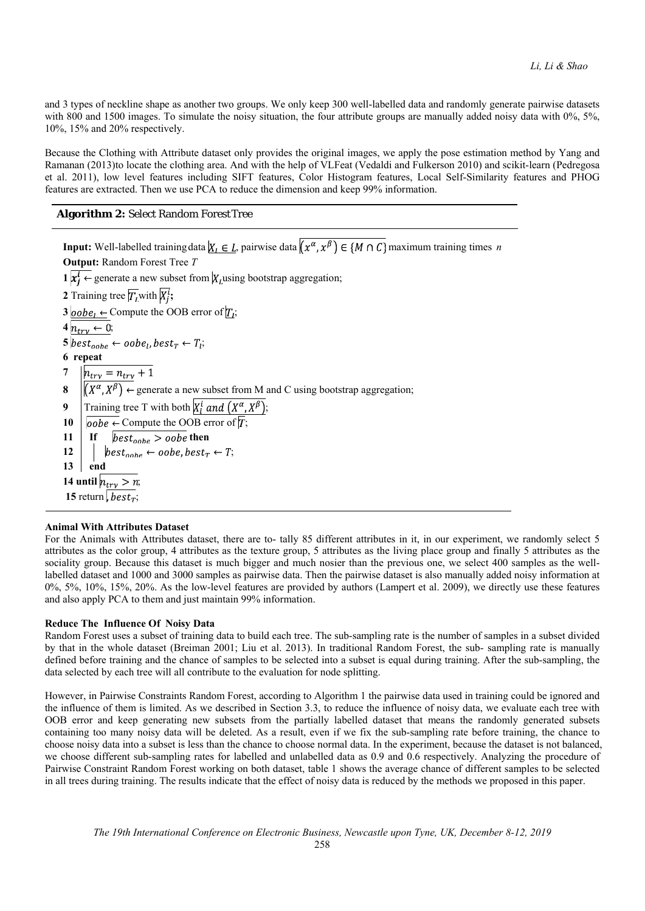and 3 types of neckline shape as another two groups. We only keep 300 well-labelled data and randomly generate pairwise datasets with 800 and 1500 images. To simulate the noisy situation, the four attribute groups are manually added noisy data with 0%, 5%, 10%, 15% and 20% respectively.

Because the Clothing with Attribute dataset only provides the original images, we apply the pose estimation method by Yang and Ramanan (2013)to locate the clothing area. And with the help of VLFeat (Vedaldi and Fulkerson 2010) and scikit-learn (Pedregosa et al. 2011), low level features including SIFT features, Color Histogram features, Local Self-Similarity features and PHOG features are extracted. Then we use PCA to reduce the dimension and keep 99% information.

## **Algorithm 2:** Select Random Forest Tree

**Input:** Well-labelled training data  $\overline{X_i \in L}$ , pairwise data  $\overline{(x^\alpha, x^\beta)} \in \overline{M \cap C}$  maximum training times *n* **Output:** Random Forest Tree *T*  $\mathbf{1} \mid \mathbf{x}_i^i \leftarrow$  generate a new subset from  $\overline{X_i}$  using bootstrap aggregation; **2** Training tree  $\overline{T}_I$  with  $\overline{X_i^i}$ ; **3**  $\overline{oobe_1} \leftarrow$  Compute the OOB error of  $\overline{T_i}$ ;  $4 n_{trv} \leftarrow 0;$  $\frac{1}{5} \frac{1}{best_{oobe} \leftarrow oobe_l, best_T \leftarrow T_l};$ **6 repeat 7 8**  $\left| \frac{h_{try} = n_{try} + 1}{(X^{\alpha}, X^{\beta}) \leftarrow \text{generate a new subset from M and C using bootstrap aggregation; } \right|$ **9** Training tree T with both  $\overline{X_i^i$  and  $(X^\alpha, X^\beta)$ ; **10**  $\boldsymbol{\phi}$   $\boldsymbol{\phi}$   $\boldsymbol{\phi}$   $\boldsymbol{\phi}$   $\boldsymbol{\phi}$   $\boldsymbol{\phi}$   $\boldsymbol{\phi}$   $\boldsymbol{\phi}$  arror of  $\boldsymbol{\phi}$ ; **11** If  $\text{best}_{oobe} > oobe$  then 12 |  $\qquad$  best<sub>oobe</sub>  $\leftarrow$  oobe, best<sub>T</sub>  $\leftarrow$  T; **13 end 14 until**  $n_{trv} > n$ ; 15 return,  $best_T$ ;

## **Animal With Attributes Dataset**

For the Animals with Attributes dataset, there are to- tally 85 different attributes in it, in our experiment, we randomly select 5 attributes as the color group, 4 attributes as the texture group, 5 attributes as the living place group and finally 5 attributes as the sociality group. Because this dataset is much bigger and much nosier than the previous one, we select 400 samples as the welllabelled dataset and 1000 and 3000 samples as pairwise data. Then the pairwise dataset is also manually added noisy information at 0%, 5%, 10%, 15%, 20%. As the low-level features are provided by authors (Lampert et al. 2009), we directly use these features and also apply PCA to them and just maintain 99% information.

#### **Reduce The Influence Of Noisy Data**

Random Forest uses a subset of training data to build each tree. The sub-sampling rate is the number of samples in a subset divided by that in the whole dataset (Breiman 2001; Liu et al. 2013). In traditional Random Forest, the sub- sampling rate is manually defined before training and the chance of samples to be selected into a subset is equal during training. After the sub-sampling, the data selected by each tree will all contribute to the evaluation for node splitting.

However, in Pairwise Constraints Random Forest, according to Algorithm 1 the pairwise data used in training could be ignored and the influence of them is limited. As we described in Section 3.3, to reduce the influence of noisy data, we evaluate each tree with OOB error and keep generating new subsets from the partially labelled dataset that means the randomly generated subsets containing too many noisy data will be deleted. As a result, even if we fix the sub-sampling rate before training, the chance to choose noisy data into a subset is less than the chance to choose normal data. In the experiment, because the dataset is not balanced, we choose different sub-sampling rates for labelled and unlabelled data as 0.9 and 0.6 respectively. Analyzing the procedure of Pairwise Constraint Random Forest working on both dataset, table 1 shows the average chance of different samples to be selected in all trees during training. The results indicate that the effect of noisy data is reduced by the methods we proposed in this paper.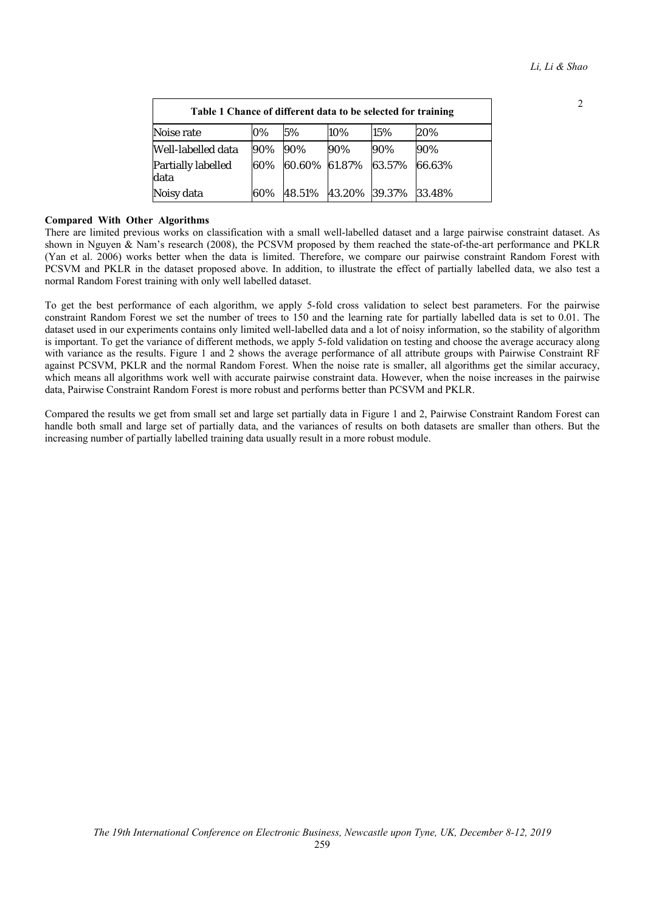| Table 1 Chance of different data to be selected for training |     |        |               |        |        |
|--------------------------------------------------------------|-----|--------|---------------|--------|--------|
| Noise rate                                                   | 0%  | 5%     | 10%           | 15%    | 20%    |
| Well-labelled data                                           | 90% | 90%    | 90%           | 90%    | 90%    |
| Partially labelled<br>data                                   | 60% | 60.60% | 61.87%        | 63.57% | 66.63% |
| Noisy data                                                   | 60% | 48.51% | 43.20% 39.37% |        | 33.48% |

# **Compared With Other Algorithms**

There are limited previous works on classification with a small well-labelled dataset and a large pairwise constraint dataset. As shown in Nguyen & Nam's research (2008), the PCSVM proposed by them reached the state-of-the-art performance and PKLR (Yan et al. 2006) works better when the data is limited. Therefore, we compare our pairwise constraint Random Forest with PCSVM and PKLR in the dataset proposed above. In addition, to illustrate the effect of partially labelled data, we also test a normal Random Forest training with only well labelled dataset.

To get the best performance of each algorithm, we apply 5-fold cross validation to select best parameters. For the pairwise constraint Random Forest we set the number of trees to 150 and the learning rate for partially labelled data is set to 0.01. The dataset used in our experiments contains only limited well-labelled data and a lot of noisy information, so the stability of algorithm is important. To get the variance of different methods, we apply 5-fold validation on testing and choose the average accuracy along with variance as the results. Figure 1 and 2 shows the average performance of all attribute groups with Pairwise Constraint RF against PCSVM, PKLR and the normal Random Forest. When the noise rate is smaller, all algorithms get the similar accuracy, which means all algorithms work well with accurate pairwise constraint data. However, when the noise increases in the pairwise data, Pairwise Constraint Random Forest is more robust and performs better than PCSVM and PKLR.

Compared the results we get from small set and large set partially data in Figure 1 and 2, Pairwise Constraint Random Forest can handle both small and large set of partially data, and the variances of results on both datasets are smaller than others. But the increasing number of partially labelled training data usually result in a more robust module.

2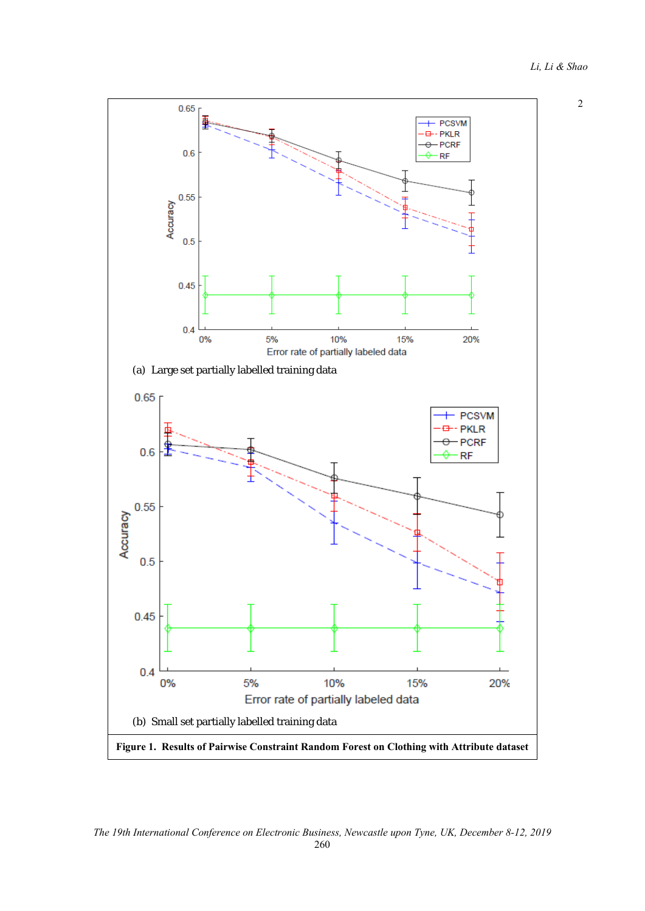2



*The 19th International Conference on Electronic Business, Newcastle upon Tyne, UK, December 8-12, 2019* 

260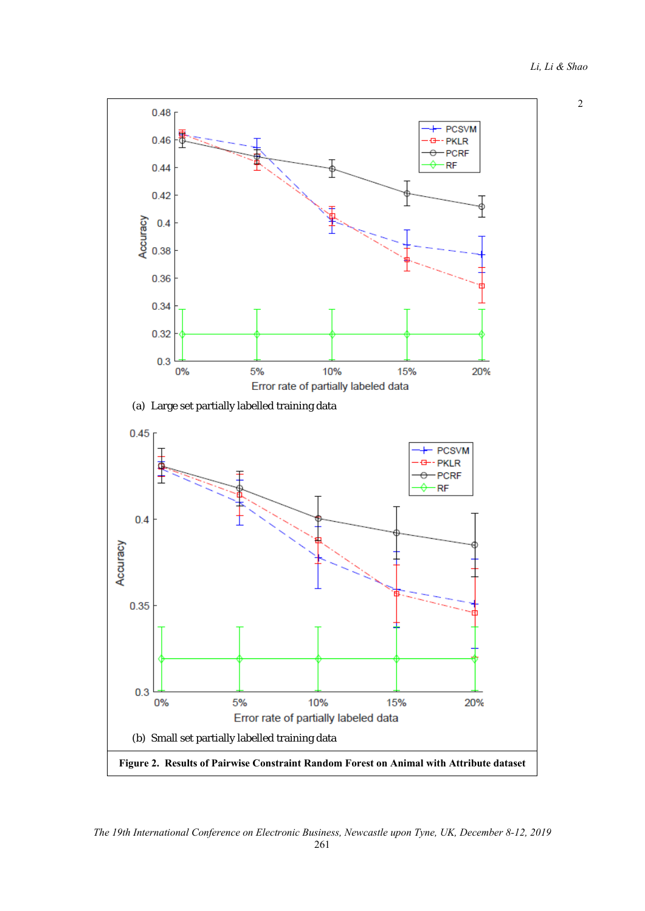2



*The 19th International Conference on Electronic Business, Newcastle upon Tyne, UK, December 8-12, 2019*